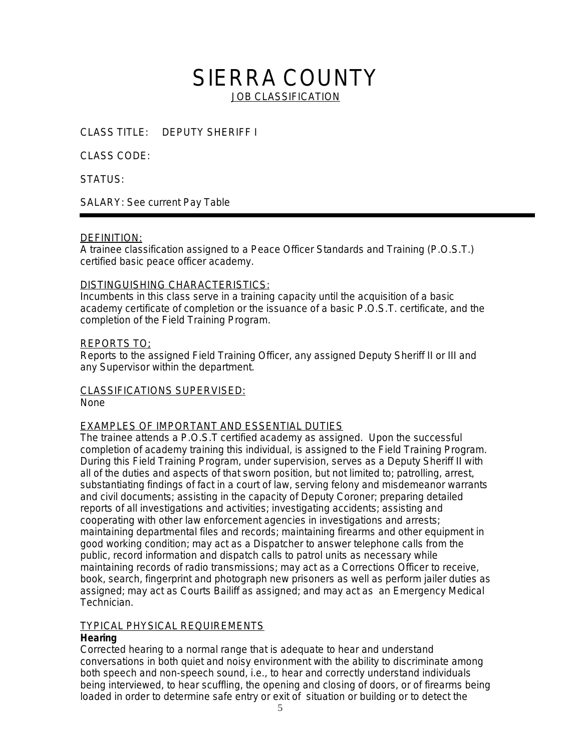# SIERRA COUNTY **JOB CLASSIFICATION**

CLASS TITLE: DEPUTY SHERIFF I

CLASS CODE:

STATUS:

SALARY: See current Pay Table

#### DEFINITION:

A trainee classification assigned to a Peace Officer Standards and Training (P.O.S.T.) certified basic peace officer academy.

#### DISTINGUISHING CHARACTERISTICS:

Incumbents in this class serve in a training capacity until the acquisition of a basic academy certificate of completion or the issuance of a basic P.O.S.T. certificate, and the completion of the Field Training Program.

#### REPORTS TO;

Reports to the assigned Field Training Officer, any assigned Deputy Sheriff II or III and any Supervisor within the department.

### CLASSIFICATIONS SUPERVISED:

None

#### EXAMPLES OF IMPORTANT AND ESSENTIAL DUTIES

The trainee attends a P.O.S.T certified academy as assigned. Upon the successful completion of academy training this individual, is assigned to the Field Training Program. During this Field Training Program, under supervision, serves as a Deputy Sheriff II with all of the duties and aspects of that sworn position, but not limited to; patrolling, arrest, substantiating findings of fact in a court of law, serving felony and misdemeanor warrants and civil documents; assisting in the capacity of Deputy Coroner; preparing detailed reports of all investigations and activities; investigating accidents; assisting and cooperating with other law enforcement agencies in investigations and arrests; maintaining departmental files and records; maintaining firearms and other equipment in good working condition; may act as a Dispatcher to answer telephone calls from the public, record information and dispatch calls to patrol units as necessary while maintaining records of radio transmissions; may act as a Corrections Officer to receive, book, search, fingerprint and photograph new prisoners as well as perform jailer duties as assigned; may act as Courts Bailiff as assigned; and may act as an Emergency Medical Technician.

#### TYPICAL PHYSICAL REQUIREMENTS

#### **Hearing**

Corrected hearing to a normal range that is adequate to hear and understand conversations in both quiet and noisy environment with the ability to discriminate among both speech and non-speech sound, i.e., to hear and correctly understand individuals being interviewed, to hear scuffling, the opening and closing of doors, or of firearms being loaded in order to determine safe entry or exit of situation or building or to detect the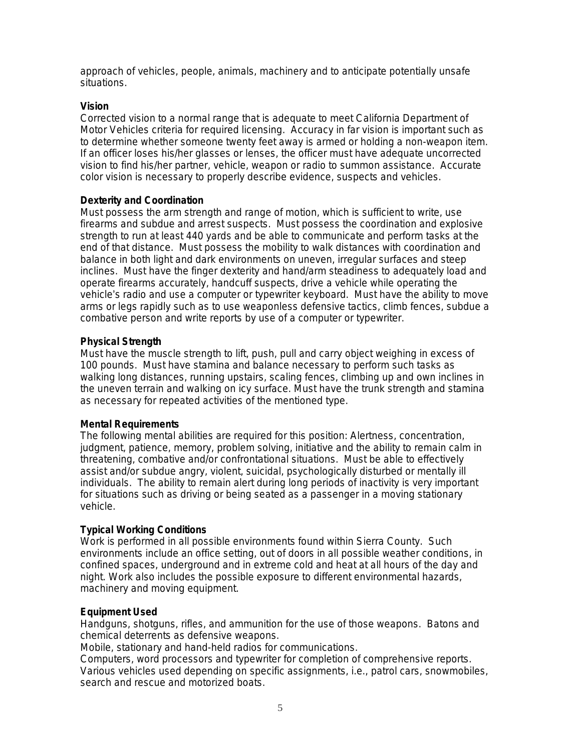approach of vehicles, people, animals, machinery and to anticipate potentially unsafe situations.

#### **Vision**

Corrected vision to a normal range that is adequate to meet California Department of Motor Vehicles criteria for required licensing. Accuracy in far vision is important such as to determine whether someone twenty feet away is armed or holding a non-weapon item. If an officer loses his/her glasses or lenses, the officer must have adequate uncorrected vision to find his/her partner, vehicle, weapon or radio to summon assistance. Accurate color vision is necessary to properly describe evidence, suspects and vehicles.

#### **Dexterity and Coordination**

Must possess the arm strength and range of motion, which is sufficient to write, use firearms and subdue and arrest suspects. Must possess the coordination and explosive strength to run at least 440 yards and be able to communicate and perform tasks at the end of that distance. Must possess the mobility to walk distances with coordination and balance in both light and dark environments on uneven, irregular surfaces and steep inclines. Must have the finger dexterity and hand/arm steadiness to adequately load and operate firearms accurately, handcuff suspects, drive a vehicle while operating the vehicle's radio and use a computer or typewriter keyboard. Must have the ability to move arms or legs rapidly such as to use weaponless defensive tactics, climb fences, subdue a combative person and write reports by use of a computer or typewriter.

#### **Physical Strength**

Must have the muscle strength to lift, push, pull and carry object weighing in excess of 100 pounds. Must have stamina and balance necessary to perform such tasks as walking long distances, running upstairs, scaling fences, climbing up and own inclines in the uneven terrain and walking on icy surface. Must have the trunk strength and stamina as necessary for repeated activities of the mentioned type.

#### **Mental Requirements**

The following mental abilities are required for this position: Alertness, concentration, judgment, patience, memory, problem solving, initiative and the ability to remain calm in threatening, combative and/or confrontational situations. Must be able to effectively assist and/or subdue angry, violent, suicidal, psychologically disturbed or mentally ill individuals. The ability to remain alert during long periods of inactivity is very important for situations such as driving or being seated as a passenger in a moving stationary vehicle.

#### **Typical Working Conditions**

Work is performed in all possible environments found within Sierra County. Such environments include an office setting, out of doors in all possible weather conditions, in confined spaces, underground and in extreme cold and heat at all hours of the day and night. Work also includes the possible exposure to different environmental hazards, machinery and moving equipment.

#### **Equipment Used**

Handguns, shotguns, rifles, and ammunition for the use of those weapons. Batons and chemical deterrents as defensive weapons.

Mobile, stationary and hand-held radios for communications.

Computers, word processors and typewriter for completion of comprehensive reports. Various vehicles used depending on specific assignments, i.e., patrol cars, snowmobiles, search and rescue and motorized boats.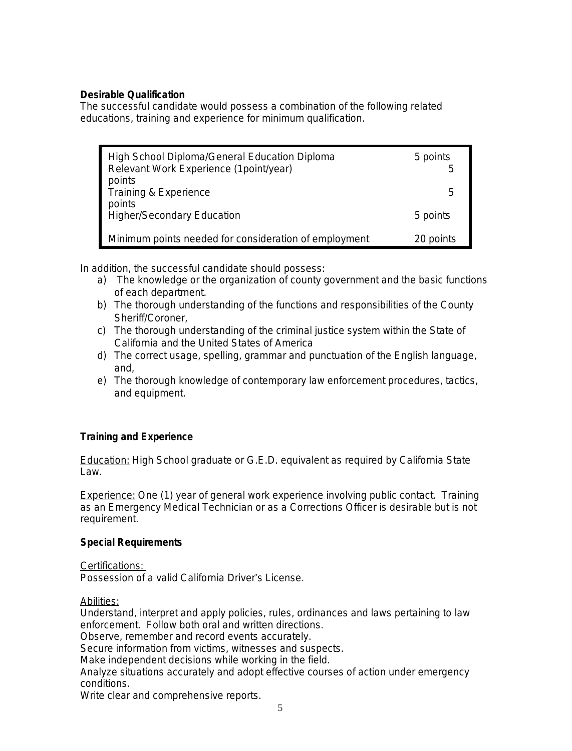#### **Desirable Qualification**

The successful candidate would possess a combination of the following related educations, training and experience for minimum qualification.

| High School Diploma/General Education Diploma<br>Relevant Work Experience (1point/year)<br>points | 5 points<br>5 |
|---------------------------------------------------------------------------------------------------|---------------|
| Training & Experience<br>points                                                                   | .h            |
| <b>Higher/Secondary Education</b>                                                                 | 5 points      |
| Minimum points needed for consideration of employment                                             | 20 points     |

In addition, the successful candidate should possess:

- a) The knowledge or the organization of county government and the basic functions of each department.
- b) The thorough understanding of the functions and responsibilities of the County Sheriff/Coroner,
- c) The thorough understanding of the criminal justice system within the State of California and the United States of America
- d) The correct usage, spelling, grammar and punctuation of the English language, and,
- e) The thorough knowledge of contemporary law enforcement procedures, tactics, and equipment.

#### **Training and Experience**

Education: High School graduate or G.E.D. equivalent as required by California State Law.

Experience: One (1) year of general work experience involving public contact. Training as an Emergency Medical Technician or as a Corrections Officer is desirable but is not requirement.

#### **Special Requirements**

Certifications:

Possession of a valid California Driver's License.

Abilities:

Understand, interpret and apply policies, rules, ordinances and laws pertaining to law enforcement. Follow both oral and written directions.

Observe, remember and record events accurately.

Secure information from victims, witnesses and suspects.

Make independent decisions while working in the field.

Analyze situations accurately and adopt effective courses of action under emergency conditions.

Write clear and comprehensive reports.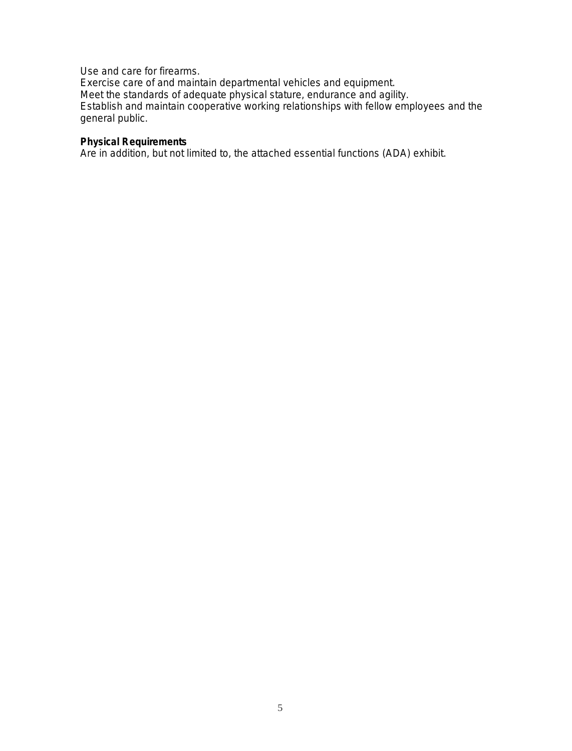Use and care for firearms.

Exercise care of and maintain departmental vehicles and equipment. Meet the standards of adequate physical stature, endurance and agility. Establish and maintain cooperative working relationships with fellow employees and the general public.

#### **Physical Requirements**

Are in addition, but not limited to, the attached essential functions (ADA) exhibit.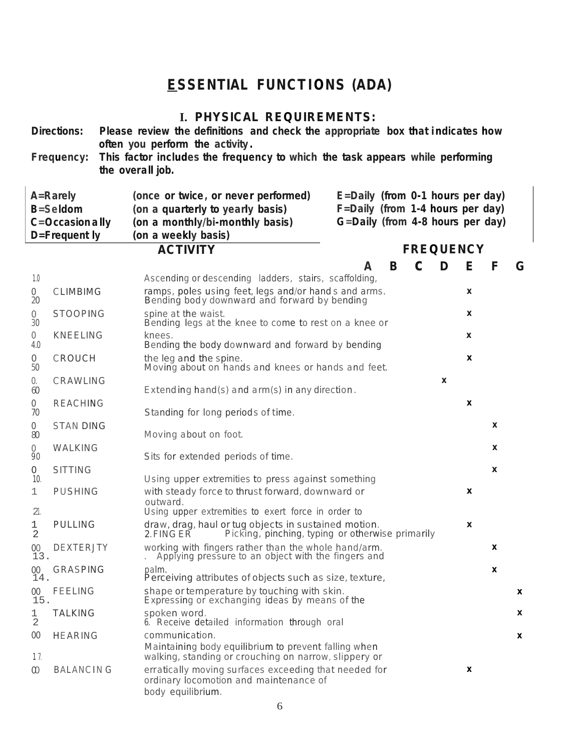# **ESSENTIAL FUNCTIONS (ADA)**

## **I. PHYSICAL REQUIREMENTS:**

|                       | <b>Directions:</b><br>Frequency:                                | the overall job. | Please review the definitions and check the appropriate box that indicates how<br>often you perform the activity.<br>This factor includes the frequency to which the task appears while performing                                            |   |                    |   |   |
|-----------------------|-----------------------------------------------------------------|------------------|-----------------------------------------------------------------------------------------------------------------------------------------------------------------------------------------------------------------------------------------------|---|--------------------|---|---|
|                       | A=Rarely<br><b>B=Seldom</b><br>C=Occasion ally<br>D=Frequent ly |                  | E=Daily (from 0-1 hours per day)<br>(once or twice, or never performed)<br>(on a quarterly to yearly basis)<br>F=Daily (from 1-4 hours per day)<br>G=Daily (from 4-8 hours per day)<br>(on a monthly/bi-monthly basis)<br>(on a weekly basis) |   |                    |   |   |
|                       |                                                                 |                  | <b>ACTIVITY</b><br><b>FREQUENCY</b>                                                                                                                                                                                                           |   |                    |   |   |
|                       |                                                                 |                  | B<br>A                                                                                                                                                                                                                                        | D | Е                  | F | G |
| 1.0                   |                                                                 |                  | Ascending or descending ladders, stairs, scaffolding,                                                                                                                                                                                         |   | X                  |   |   |
| 0<br>20               | <b>CLIMBIMG</b>                                                 |                  | ramps, poles using feet, legs and/or hands and arms.<br>Bending body downward and forward by bending                                                                                                                                          |   |                    |   |   |
| $\circ$<br>30         | <b>STOOPING</b>                                                 |                  | spine at the waist.<br>Bending legs at the knee to come to rest on a knee or                                                                                                                                                                  |   | X                  |   |   |
| $\bigcirc$            | <b>KNEELING</b>                                                 |                  | knees.                                                                                                                                                                                                                                        |   | X                  |   |   |
| 4.0                   |                                                                 |                  | Bending the body downward and forward by bending                                                                                                                                                                                              |   | X                  |   |   |
| $\circ$<br>50         | CROUCH                                                          |                  | the leg and the spine.<br>Moving about on hands and knees or hands and feet.                                                                                                                                                                  |   |                    |   |   |
| 0.<br>60              | CRAWLING                                                        |                  | Extending hand(s) and arm(s) in any direction.                                                                                                                                                                                                | X |                    |   |   |
| 0                     | <b>REACHING</b>                                                 |                  |                                                                                                                                                                                                                                               |   | $\pmb{\mathsf{x}}$ |   |   |
| 70                    |                                                                 |                  | Standing for long periods of time.                                                                                                                                                                                                            |   |                    |   |   |
| $\mathbf 0$<br>80     | <b>STAN DING</b>                                                |                  | Moving about on foot.                                                                                                                                                                                                                         |   |                    | X |   |
| $\overline{0}$<br>9.0 | WALKING                                                         |                  | Sits for extended periods of time.                                                                                                                                                                                                            |   |                    | X |   |
| 0                     | <b>SITTING</b>                                                  |                  |                                                                                                                                                                                                                                               |   |                    | X |   |
| 10.                   |                                                                 |                  | Using upper extremities to press against something                                                                                                                                                                                            |   |                    |   |   |
| $\perp$               | <b>PUSHING</b>                                                  |                  | with steady force to thrust forward, downward or<br>outward.                                                                                                                                                                                  |   | X                  |   |   |
| 21.                   |                                                                 |                  | Using upper extremities to exert force in order to                                                                                                                                                                                            |   |                    |   |   |
| 1<br>2                | <b>PULLING</b>                                                  |                  | draw, drag, haul or tug objects in sustained motion.<br>Picking, pinching, typing or otherwise primarily<br>2. FING ER                                                                                                                        |   | X                  |   |   |
| 00<br>13.             | <b>DEXTERJTY</b>                                                |                  | working with fingers rather than the whole hand/arm.<br>Applying pressure to an object with the fingers and                                                                                                                                   |   |                    | x |   |
| $00\,$<br>14.         | GRASPING                                                        |                  | palm.<br>Perceiving attributes of objects such as size, texture,                                                                                                                                                                              |   |                    | X |   |
| $00\,$<br>15.         | <b>FEELING</b>                                                  |                  | shape or temperature by touching with skin.<br>Expressing or exchanging ideas by means of the                                                                                                                                                 |   |                    |   | x |
| 1<br>2                | <b>TALKING</b>                                                  |                  | spoken word.<br>6. Receive detailed information through oral                                                                                                                                                                                  |   |                    |   | X |
| $00\,$<br>17.         | <b>HEARING</b>                                                  |                  | communication.<br>Maintaining body equilibrium to prevent falling when<br>walking, standing or crouching on narrow, slippery or                                                                                                               |   |                    |   | X |
| $\infty$              | <b>BALANCING</b>                                                |                  | erratically moving surfaces exceeding that needed for<br>ordinary locomotion and maintenance of<br>body equilibrium.                                                                                                                          |   | X                  |   |   |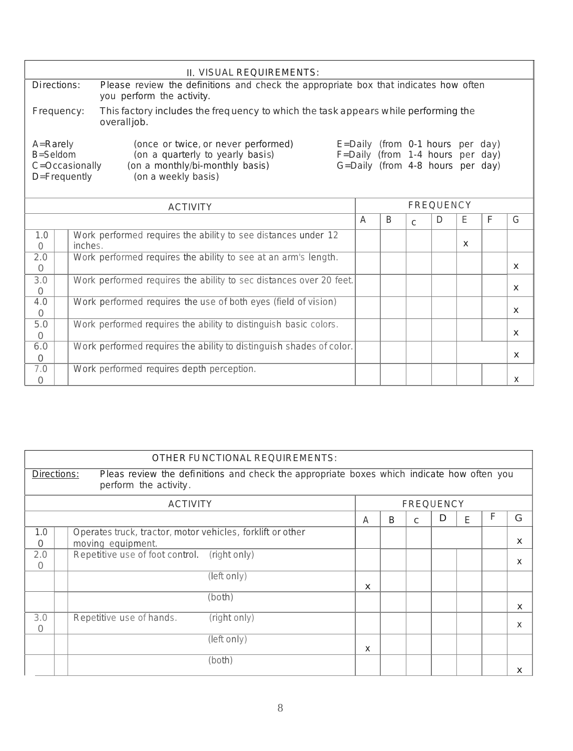| II. VISUAL REOUIREMENTS:                                                                                                                                                                                                                                                                                        |  |  |  |  |          |          |          |  |  |
|-----------------------------------------------------------------------------------------------------------------------------------------------------------------------------------------------------------------------------------------------------------------------------------------------------------------|--|--|--|--|----------|----------|----------|--|--|
| Directions:<br>Please review the definitions and check the appropriate box that indicates how often<br>you perform the activity.                                                                                                                                                                                |  |  |  |  |          |          |          |  |  |
| Frequency:<br>This factory includes the frequency to which the task appears while performing the<br>overalljob.                                                                                                                                                                                                 |  |  |  |  |          |          |          |  |  |
| (once or twice, or never performed)<br>$E =$ Daily (from 0-1 hours per day)<br>$A =$ Rarely<br>(on a quarterly to yearly basis)<br>B=Seldom<br>F=Daily (from 1-4 hours per day)<br>G=Daily (from 4-8 hours per day)<br>(on a monthly/bi-monthly basis)<br>C=Occasionally<br>D=Frequently<br>(on a weekly basis) |  |  |  |  |          |          |          |  |  |
| <b>FREQUENCY</b><br><b>ACTIVITY</b>                                                                                                                                                                                                                                                                             |  |  |  |  |          |          |          |  |  |
| Ε<br>F<br>G<br>D<br>$\overline{A}$<br>B<br>$\mathcal{C}$                                                                                                                                                                                                                                                        |  |  |  |  |          |          |          |  |  |
| Work performed requires the ability to see distances under 12<br>1.0<br>inches.<br>$\bigcap$                                                                                                                                                                                                                    |  |  |  |  | $\times$ |          |          |  |  |
| Work performed requires the ability to see at an arm's length.<br>2.0<br>$\Omega$                                                                                                                                                                                                                               |  |  |  |  |          |          | $\times$ |  |  |
| 3.0<br>Work performed requires the ability to sec distances over 20 feet.<br>$\bigcap$                                                                                                                                                                                                                          |  |  |  |  |          | $\times$ |          |  |  |
| 4.0<br>Work performed requires the use of both eyes (field of vision)<br>$\bigcap$                                                                                                                                                                                                                              |  |  |  |  |          |          | $\times$ |  |  |
| 5.0<br>Work performed requires the ability to distinguish basic colors.<br>$\bigcap$                                                                                                                                                                                                                            |  |  |  |  |          |          | $\times$ |  |  |
| Work performed requires the ability to distinguish shades of color.<br>6.0<br>$\Omega$                                                                                                                                                                                                                          |  |  |  |  |          |          | $\times$ |  |  |
| 7.0<br>Work performed requires depth perception.<br>$\circ$<br>X                                                                                                                                                                                                                                                |  |  |  |  |          |          |          |  |  |

| OTHER FUNCTIONAL REQUIREMENTS:                                                                                                    |                                                                                 |          |   |   |   |   |   |   |  |  |
|-----------------------------------------------------------------------------------------------------------------------------------|---------------------------------------------------------------------------------|----------|---|---|---|---|---|---|--|--|
| Pleas review the definitions and check the appropriate boxes which indicate how often you<br>Directions:<br>perform the activity. |                                                                                 |          |   |   |   |   |   |   |  |  |
| <b>ACTIVITY</b><br><b>FREQUENCY</b>                                                                                               |                                                                                 |          |   |   |   |   |   |   |  |  |
|                                                                                                                                   |                                                                                 | A        | B | C | D | F | F | G |  |  |
| 1.0<br>$\Omega$                                                                                                                   | Operates truck, tractor, motor vehicles, forklift or other<br>moving equipment. |          |   |   |   |   |   | X |  |  |
| 2.0<br>$\Omega$                                                                                                                   | Repetitive use of foot control. (right only)                                    |          |   |   |   |   |   | X |  |  |
|                                                                                                                                   | (left only)                                                                     | $\times$ |   |   |   |   |   |   |  |  |
|                                                                                                                                   | (both)                                                                          |          |   |   |   |   |   | X |  |  |
| 3.0<br>$\Omega$                                                                                                                   | (iight only)<br>Repetitive use of hands.                                        |          |   |   |   |   |   | X |  |  |
|                                                                                                                                   | (left only)                                                                     | X        |   |   |   |   |   |   |  |  |
|                                                                                                                                   | (both)                                                                          |          |   |   |   |   |   | X |  |  |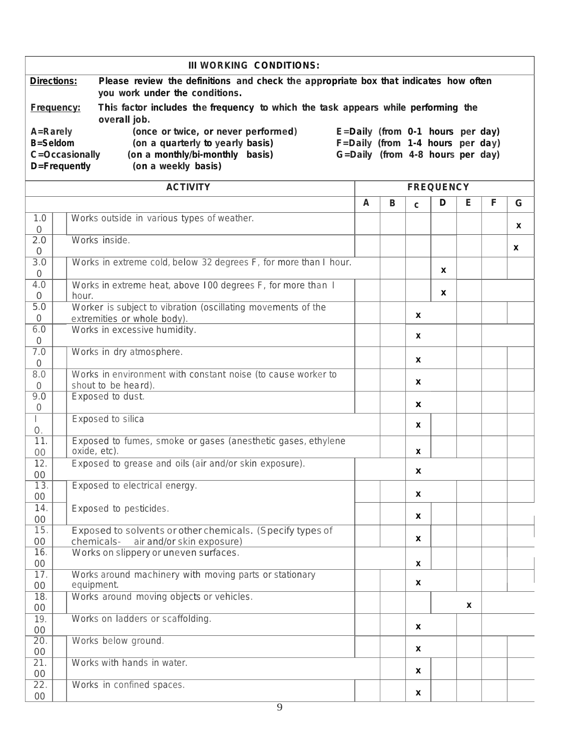| III WORKING CONDITIONS:       |                                                                                                                                                                                                                                                                                                                                |                                                                                                   |                  |   |              |   |   |   |   |  |  |
|-------------------------------|--------------------------------------------------------------------------------------------------------------------------------------------------------------------------------------------------------------------------------------------------------------------------------------------------------------------------------|---------------------------------------------------------------------------------------------------|------------------|---|--------------|---|---|---|---|--|--|
|                               | <b>Directions:</b><br>Please review the definitions and check the appropriate box that indicates how often<br>you work under the conditions.                                                                                                                                                                                   |                                                                                                   |                  |   |              |   |   |   |   |  |  |
|                               | Frequency:<br>This factor includes the frequency to which the task appears while performing the                                                                                                                                                                                                                                |                                                                                                   |                  |   |              |   |   |   |   |  |  |
|                               | overall job.<br>(once or twice, or never performed)<br>A=Rarely<br>E=Daily (from 0-1 hours per day)<br><b>B=Seldom</b><br>F=Daily (from 1-4 hours per day)<br>(on a quarterly to yearly basis)<br>(on a monthly/bi-monthly basis)<br>G=Daily (from 4-8 hours per day)<br>C=Occasionally<br>D=Frequently<br>(on a weekly basis) |                                                                                                   |                  |   |              |   |   |   |   |  |  |
|                               |                                                                                                                                                                                                                                                                                                                                |                                                                                                   | <b>FREQUENCY</b> |   |              |   |   |   |   |  |  |
|                               |                                                                                                                                                                                                                                                                                                                                |                                                                                                   | A                | B | $\mathsf{C}$ | D | Е | F | G |  |  |
| 1.0<br>$\circ$                |                                                                                                                                                                                                                                                                                                                                | Works outside in various types of weather.                                                        |                  |   |              |   |   |   | X |  |  |
| 2.0<br>$\overline{O}$         |                                                                                                                                                                                                                                                                                                                                | Works inside.                                                                                     |                  |   |              |   |   |   | X |  |  |
| 3.0<br>$\overline{O}$         |                                                                                                                                                                                                                                                                                                                                | Works in extreme cold, below 32 degrees F, for more than I hour.                                  |                  |   |              | X |   |   |   |  |  |
| 4.0<br>$\circ$                | hour.                                                                                                                                                                                                                                                                                                                          | Works in extreme heat, above 100 degrees F, for more than I                                       |                  |   |              | X |   |   |   |  |  |
| 5.0<br>$\mathbf 0$            |                                                                                                                                                                                                                                                                                                                                | Worker is subject to vibration (oscillating movements of the<br>extremities or whole body).       |                  |   | X            |   |   |   |   |  |  |
| $6.0$<br>$\overline{O}$       |                                                                                                                                                                                                                                                                                                                                | Works in excessive humidity.                                                                      |                  |   | X            |   |   |   |   |  |  |
| 7.0                           |                                                                                                                                                                                                                                                                                                                                | Works in dry atmosphere.                                                                          |                  |   | X            |   |   |   |   |  |  |
| $\mathcal{O}$<br>8.0          |                                                                                                                                                                                                                                                                                                                                | Works in environment with constant noise (to cause worker to                                      |                  |   | X            |   |   |   |   |  |  |
| $\circ$<br>9.0                |                                                                                                                                                                                                                                                                                                                                | shout to be heard).<br>Exposed to dust.                                                           |                  |   |              |   |   |   |   |  |  |
| $\circ$<br>$\mathbb{L}$       |                                                                                                                                                                                                                                                                                                                                | Exposed to silica                                                                                 |                  |   | X<br>X       |   |   |   |   |  |  |
| $\bigcirc$ .<br>11.<br>$00\,$ |                                                                                                                                                                                                                                                                                                                                | Exposed to fumes, smoke or gases (anesthetic gases, ethylene<br>oxide, etc).                      |                  |   | X            |   |   |   |   |  |  |
| 12.                           |                                                                                                                                                                                                                                                                                                                                | Exposed to grease and oils (air and/or skin exposure).                                            |                  |   | X            |   |   |   |   |  |  |
| 00<br>13.<br>$00\,$           |                                                                                                                                                                                                                                                                                                                                | Exposed to electrical energy.                                                                     |                  |   | X            |   |   |   |   |  |  |
| 14.<br>$00\,$                 |                                                                                                                                                                                                                                                                                                                                | Exposed to pesticides.                                                                            |                  |   | X            |   |   |   |   |  |  |
| 15.<br>$00\,$                 |                                                                                                                                                                                                                                                                                                                                | Exposed to solvents or other chemicals. (Specify types of<br>chemicals- air and/or skin exposure) |                  |   | X            |   |   |   |   |  |  |
| 16.<br>$00\,$                 |                                                                                                                                                                                                                                                                                                                                | Works on slippery or uneven surfaces.                                                             |                  |   | X            |   |   |   |   |  |  |
| 17.<br>$00\,$                 |                                                                                                                                                                                                                                                                                                                                | Works around machinery with moving parts or stationary<br>equipment.                              |                  |   | X            |   |   |   |   |  |  |
| 18.                           |                                                                                                                                                                                                                                                                                                                                | Works around moving objects or vehicles.                                                          |                  |   |              |   | X |   |   |  |  |
| $00\,$<br>19.                 |                                                                                                                                                                                                                                                                                                                                | Works on ladders or scaffolding.                                                                  |                  |   | $\pmb{\chi}$ |   |   |   |   |  |  |
| $00\,$<br>$\overline{20}$ .   |                                                                                                                                                                                                                                                                                                                                | Works below ground.                                                                               |                  |   |              |   |   |   |   |  |  |
| $00\,$<br>$\overline{21}$ .   |                                                                                                                                                                                                                                                                                                                                | Works with hands in water.                                                                        |                  |   | X            |   |   |   |   |  |  |
| $00\,$<br>22.                 |                                                                                                                                                                                                                                                                                                                                | Works in confined spaces.                                                                         |                  |   | X            |   |   |   |   |  |  |
| $00\,$                        |                                                                                                                                                                                                                                                                                                                                |                                                                                                   |                  |   | X            |   |   |   |   |  |  |